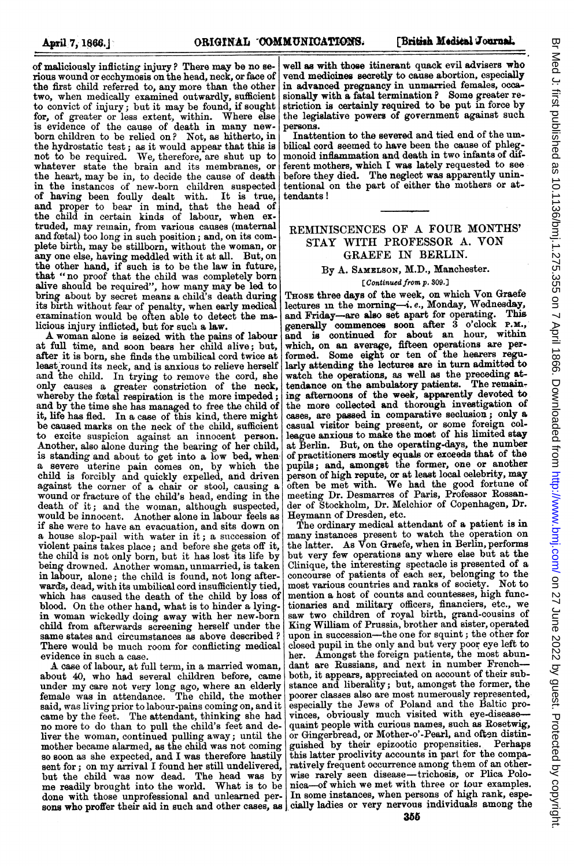of maliciously inflicting injury ? There may be no serious wound or ecchymosis on the head, neck, or face of the first child referred to, any more than the other two, when medically examined outwardly, sufficient to convict of injury; but it may be found, if sought for, of greater or less extent, within. Where else is evidence of the cause of death in many newborn children to be relied on? Not, as hitherto, in the hydrostatic test; as it would appear that this is not to be required. We, therefore, are shut up to not to be required. We, therefore, are shut up to whatever state the brain and its membranes, or the heart, may be in, to decide the cause of death in the instances of new-born children suspected of having been foully dealt with. It is true, and proper to bear in mind, that the head of the child in certain kinds of labour, when extruded, may remain, from various causes (maternal and fectal) too long in such position; and, on its complete birth, may be stillborn, without the woman, or any one else, having meddled with it at all. But, on the other hand, if such is to be the law in future, that "no proof that the child was completely born alive should be required", how many may be led to bring about by secret means a child's death during its birth without fear of penalty, when early medical examination would be often able to detect the malicious injury inflicted, but for such a law.

A woman alone is seized with the pains of labour at full time, and soon bears her child alive; but, after it is born, she finds the umbilical cord twice at least round its neck, and is anxious to relieve herself and the child. In trying to remove the cord, she only causes a greater constriction of the neck, whereby the fcotal respiration is the more impeded; and by the time she has managed to free the child of it, life has fled. In a case of this kind, there might be caused marks on the neck of the child, sufficient to excite suspicion against an innocent person. Another, also alone during the bearing of her child, is standing and about to get into a low bed, when a severe uterine pain comes on, by which the child is forcibly and quickly expelled, and driven against the corner of a chair or stool, causing a wound or fracture of the child's head, ending in the death of it; and the woman, although suspected, would be innocent. Another alone in labour feels as if she were to have an evacuation, and sits down on a house slop-pail with water in it; a succession of violent pains takes place; and before she gets off it, the child is not only born, but it has lost its life by being drowned. Another woman, unmarried, is taken in labour, alone; the child is found, not long afterwards, dead, with its umbilical cord insufficiently tied, which has caused the death of the child by loss of blood. On the other hand, what is to hinder a lyingin woman wickedly doing away with her new-born child from afterwards screening herself under the same states and circumstances as above described ? There would be much room for conflicting medical evidence in such a case.

A case of labour, at full term, in <sup>a</sup> married woman, about 40, who had several children before, came under my care not very long ago, where an elderly female was in attendance. The child, the mother said, was living prior to labour-pains coming on, and it came by the feet. The attendant, thinking she had no more to do than to pull the child's feet and deliver the woman, continued pulling away; until the mother became alarmed, as the child was not coming so soon as she expected, and I was therefore hastily sent for; on my arrival I found her still undelivered, but the child was now dead. The head was by me readily brought into the world. What is to be done with those unprofessional and unlearned per-

well as with those itinerant quack evil advisers who vend medicines secretly to cause abortion, especially in advanced pregnancy in unmarried females, occasionally with a fatal termination ? Some greater restriction is certainly required to be put in force by the legislative powers of government against such persons.

Inattention to the severed and tied end of the umbilical cord seemed to have been the cause of phlegmonoid inflammation and death in two infants of different mothers, which I was lately requested to see before they died. The neglect was apparently unintentional on the part of either the mothers or attendants !

# REMINISCENCES OF A FOUR MONTHS' STAY WITH PROFESSOR A. VON GRAEFE IN BERLIN.

# By A. SAMELSON, M.D., Manchester.

### [Continued from p. 809.]

THOSE three days of the week, on which Von Graefe lectures in the morning--i.e., Monday, Wednesday, and Eriday-are also set apart for operating. This and Friday-are also set apart for operating. generally commences soon after 3 o'clock P.M.,<br>and is continued for about an hour, within which, on an average, fifteen operations are performed. Some eight or ten of the hearers regularly attending the lectures are in turn admitted to watch the operations, as well as the preceding attandance on the ambulatory patients. The remaintendance on the ambulatory patients. ing afternoons of the week, apparently devoted to the more collected and thorough investigation of cases, are passed in comparative seclusion; only a casual visitor being present, or some foreign col-league anxious to make the most of his limited stay at Berlin. But, on the operating-days, the number of practitioners mostly equals or exceeds that of the pupils; and, amongst the former, one or another person of high repute, or at least local celebrity, may often be met with. We had the good fortune of meeting Dr. Desmarres of Paris, Professor Rossander of Stockholm, Dr. Melchior of Copenhagen, Dr. Heymann of Dresden, etc.

sons who proffer their aid in such and other cases, as cially ladies or very nervous individuals among the The ordinary medical attendant of a patient is in many instances present to watch the operation on the latter. As Von Graefe, when in Berlin, performs but very few operations any where else but at the Clinique, the interesting spectacle is presented of a concourse of patients of each sex, belonging to the most various countries and ranks of society. Not to mention a host of counts and countesses, high functionaries and military officers, financiers, etc., we saw two children of royal birth, grand-cousins of King William of Prussia, brother and sister, operated upon in succession-the one for squint; the other for closed pupil in the only and but very poor eye left to her. Amongst the foreign patients, the most abundant are Russians, and next in number Frenchboth, it appears, appreciated on account of their substance and liberality; but, amongst the former, the poorer classes also are most numerously represented, especially the Jews of Poland and the Baltic provinces, obviously much visited with eye-diseasequaint people with curious names, such as Rosetwig, or Gingerbread, or Mother-o'-Pearl, and often distinguished by their epizootic propensities. this latter proclivity accounts in part for the comparatively frequent occurrence among them of an otherwise rarely seen disease-trichosis, or Plica Polonica-of which we met with three or tour examples. In some instances, when persons of high rank, espe-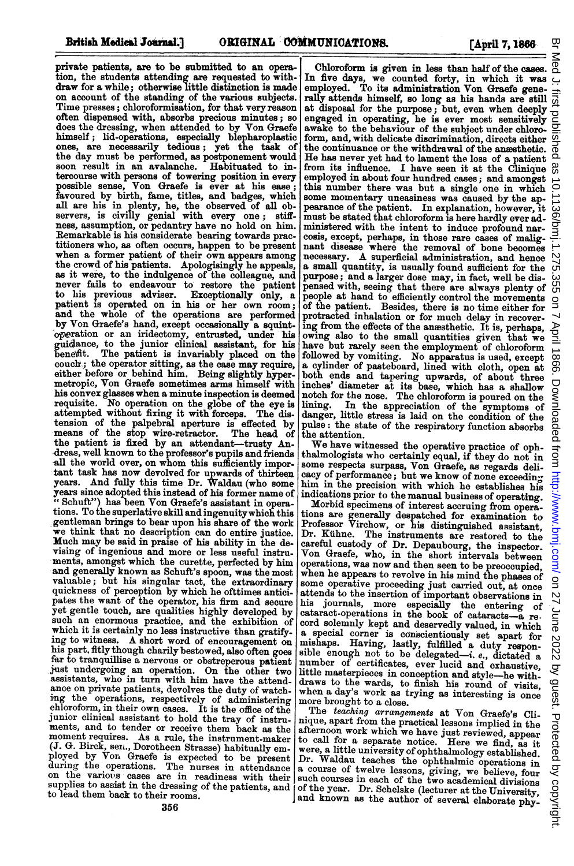띶

private patients, are to be submitted to an opera tion, the students attending are requested to with-draw for a while; otherwise little distinction is made on account of the standing of the various subjects. Time presses; chloroformisation, for that very reason often dispensed with, absorbs precious minutes; so does the dressing, when attended to by Von Graefe himself; lid-operations, especially blepharoplastic ones, are necessarily tedious; yet the task of the day must be performed, as postponement would soon result in an avalanche. Habituated to intercourse with persons of towering position in every possible sense, Von Graefe is ever at his ease; favoured by birth, fame, titles, and badges, which all are his in plenty, he, the observed of all ob-servers, is civilly genial with every one; stiffness, assumption, or pedantry have no hold on him. Remarkable is his considerate bearing towards prac-<br>titioners who, as often occurs, happen to be present titioners who, as often occurs, happen to be present when <sup>a</sup> former patient of their own appears among the crowd of his patients. Apologisingly he appeals, as it were, to the indulgence of the colleague, and never fails to endeavour to restore the patient to his previous adviser. Exceptionally only, a patient is operated on in his or her own room; and the whole of the operations are performed by Von Graefe's hand, except occasionally a squintof,ration or an iridectomy, entrusted, under 'his guidance, to the junior clinical assistant, for his benetit. The patient is invariably placed on the couch; the operator sitting, as the case may require, either before or behind him. Being slightly hypermetropic, Von Graefe sometimes arms himself with his convex glasses when a minute inspection is deemed requisite. No operation on the globe of the eye is attempted without fixing it with forceps. The distension of the palpebral aperture is effected by<br>means of the stop wire-retractor. The head of<br>the patient is fixed by an attendant-trusty Andreas, well known to the professor's pupils and friends s1l the world over, on whom this sufficiently impor-tant task has now devolved for upwards of thirteen years. And fully this time Dr. Waldau (who some years since adopted this instead of his former name of " Schuft") has been Von Graefe's assistant in opera-tions. To the superlative skill and ingenuitywhich this gentleman brings to bear upon his share of the work we think that no description can do entire justice. Much may be said in praise of his ability in the devising of ingenious and more or less useful instruments, amongst which the curette, perfected by him and generally known as Schuft's spoon, was the most valuable; but his singular tact, the extraordinary quickness of perception by which he ofttimes anticipates the want of the operator, his firm and secure yet gentle touch, are qualities highly developed by such an enormous practice, and the exhibition of which it is certainly no less instructive than gratifying to witness. A short word of encouragement on his part, fitly though charily bestowed, also often goes far to tranquillise a nervous or obstreperous patient Just undergoing an operation. On the other two assistants, who in turn with him have the attendance on private patients, devolves the duty of watchance on private patients, devolves the duty of watching the operations, respectively of administering<br>chloroform, in their own cases. It is the office of the junior clinical assistant to hold the tray of instruments, and to tender or receive them back as the moment requires. As a rule, the instrument-maker (J. G. Birck, sexi., Dorotheen Strasse) habitually employed by Von Graefe is expected to be present during the operations. The nurses in attendance on the various cases are in readiness with their supplies to assist in the dressing of the patients, and to lead them back to their rooms.

 on 27 June 2022 by guest. Protected by copyright. <http://www.bmj.com/> Br Med J: first published as 10.1136/bmj.1.275.355 on 7 April 1866. Downloaded from Chloroform is given in less than half of the cases. In five days, we counted forty, in which it was employed. To its administration Von Graefe generany attends himself, so long as his hands are still<br>at disposal for the purpose; but, even when deeply<br>engaged in operating, he is ever most sensitively awake to the behaviour of the subject under chloro- $\overline{5}$ <br>form, and, with delicate discrimination, directs either form, and, with delicate discrimination, directs either<br>the continuance or the withdrawal of the anssthetic.<br>He has never yet had to lament the loss of a patient<br>from its influence. I have seen it at the Clinique<br>employed this number there was but a single one in which  $\circ$ some momentary uneasiness was caused by the appearance of the patient. In explanation, however, it must be stated that chloroform is here hardly ever administered with the intent to induce profound narcosis, except, perhaps, in those rare cases of malig-nant disease where the removal of bone becomes S75. necessary. A superficial administration, and hence a small quantity, is usually found sufficient for the purpose; and a larger dose may, in fact, well be dis-355 pensed with, seeing that there are always plenty of people at hand to efficiently control the movements of the patient. Besides, there is no time either for protracted inhalation or for much delay in recovering from the effects of the anesthetic. It is, perhaps, owing also to the small quantities given that we have but rarely seen the employment of chloroform followed by vomiting. No apparatus is used, except 1866 a cylinder of pasteboard, lined with cloth, open at both ends and tapering upwards, of about three inches' diameter at its base, which has a shallow notch for the nose. The chloroform is poured on the Downloaded from http://www.bmj.com/ on 27 June 2022 by guest. Protected by copyright lining. In the appreciation of the symptoms of danger, little stress is laid on the condition of the<br>pulse: the state of the respiratory function absorbs the attention.

We have witnessed the operative practice of oph thalmologists who certainly equal, if they do not in some respects surpass, Von Graefe, as regards delicacy of performance; but we know of none exceeding<br>him in the precision with which he establishes his<br>indications prior to the manual business of operating.

Morbid specimens of interest accruing from operations are generally despatched for examination to Professor Virchow, or his distinguished assistant, Dr. KEihne. The instruments are restored to the careful custody of Dr. Depaubourg, the inspector. Von Graefe, who, in the short intervals between operations, was now and then seen to be preoccupied, when he appears to revolve in his mind the phases of some operative proceeding just carried out, at once<br>attends to the insertion of important observations in his journals, more especially the entering of cataract-operations in the book of cataracts-a record solemnly kept and deservedly valued, in which a special corner is conscientiously set apart for mishaps. Having, lastly, fulfilled a duty respon-<br>sible enough not to be delegated-i.e., dictated a<br>number of certificates, ever lucid and exhaustive, little masterpieces in conception and style-he with- draws to the wards, to finish his round of visits, when <sup>a</sup> day's work as trying as interesting is once more brought to a close.

The teaching arrangements at Von Graefe's Clinique, apart from the practical lessons implied in the nique, apart from the property in the property in the afternoon work which we have just reviewed, appear to call for a separate notice. Here we find, as it were, a little university of ophthalmology established. Dr. Waldau teaches the ophthalmic operations in a course of twelve lessons, giving, we believe, four such courses in each of the two academical divisions of the year. Dr. Schelske (lecturer at the University, and known as the author of several elaborate phy